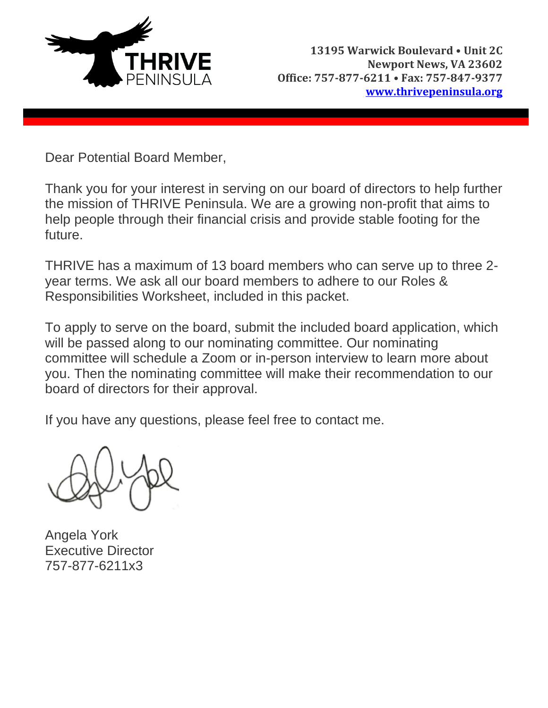

Dear Potential Board Member,

Thank you for your interest in serving on our board of directors to help further the mission of THRIVE Peninsula. We are a growing non-profit that aims to help people through their financial crisis and provide stable footing for the future.

THRIVE has a maximum of 13 board members who can serve up to three 2 year terms. We ask all our board members to adhere to our Roles & Responsibilities Worksheet, included in this packet.

To apply to serve on the board, submit the included board application, which will be passed along to our nominating committee. Our nominating committee will schedule a Zoom or in-person interview to learn more about you. Then the nominating committee will make their recommendation to our board of directors for their approval.

If you have any questions, please feel free to contact me.

Angela York Executive Director 757-877-6211x3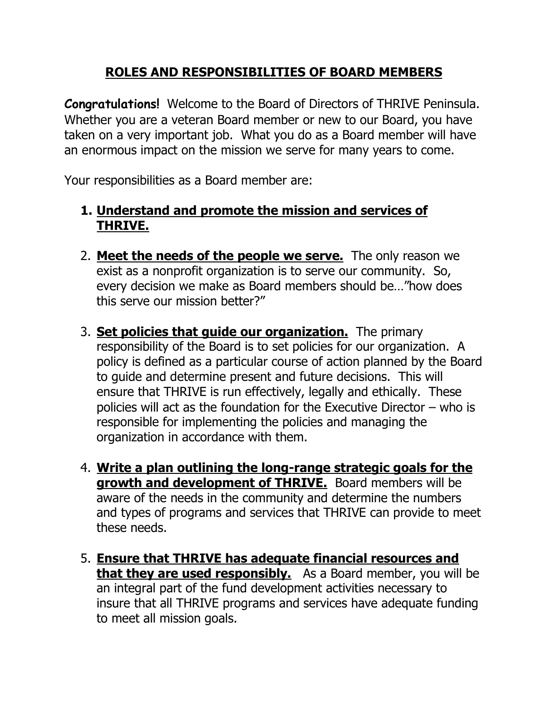## **ROLES AND RESPONSIBILITIES OF BOARD MEMBERS**

**Congratulations!** Welcome to the Board of Directors of THRIVE Peninsula. Whether you are a veteran Board member or new to our Board, you have taken on a very important job. What you do as a Board member will have an enormous impact on the mission we serve for many years to come.

Your responsibilities as a Board member are:

## **1. Understand and promote the mission and services of THRIVE.**

- 2. **Meet the needs of the people we serve.** The only reason we exist as a nonprofit organization is to serve our community. So, every decision we make as Board members should be…"how does this serve our mission better?"
- 3. **Set policies that guide our organization.** The primary responsibility of the Board is to set policies for our organization. A policy is defined as a particular course of action planned by the Board to guide and determine present and future decisions. This will ensure that THRIVE is run effectively, legally and ethically. These policies will act as the foundation for the Executive Director – who is responsible for implementing the policies and managing the organization in accordance with them.
- 4. **Write a plan outlining the long-range strategic goals for the growth and development of THRIVE.** Board members will be aware of the needs in the community and determine the numbers and types of programs and services that THRIVE can provide to meet these needs.
- 5. **Ensure that THRIVE has adequate financial resources and that they are used responsibly.** As a Board member, you will be an integral part of the fund development activities necessary to insure that all THRIVE programs and services have adequate funding to meet all mission goals.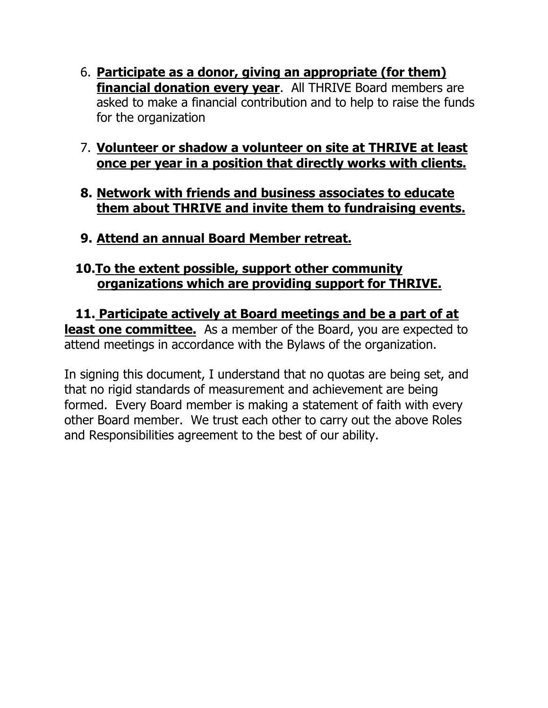- 6. **Participate as a donor, giving an appropriate (for them) financial donation every year**. All THRIVE Board members are asked to make a financial contribution and to help to raise the funds for the organization
- 7. **Volunteer or shadow a volunteer on site at THRIVE at least once per year in a position that directly works with clients.**
- **8. Network with friends and business associates to educate them about THRIVE and invite them to fundraising events.**
- **9. Attend an annual Board Member retreat.**

## **10.To the extent possible, support other community organizations which are providing support for THRIVE.**

**11. Participate actively at Board meetings and be a part of at least one committee.** As a member of the Board, you are expected to attend meetings in accordance with the Bylaws of the organization.

In signing this document, I understand that no quotas are being set, and that no rigid standards of measurement and achievement are being formed. Every Board member is making a statement of faith with every other Board member. We trust each other to carry out the above Roles and Responsibilities agreement to the best of our ability.